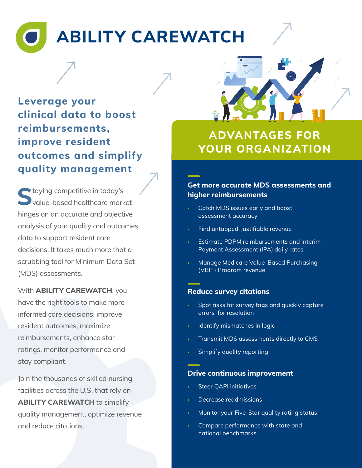# **ABILITY CAREWATCH**

**Leverage your clinical data to boost reimbursements, improve resident outcomes and simplify quality management**

**S**taying competitive in today's value-based healthcare market hinges on an accurate and objective analysis of your quality and outcomes data to support resident care decisions. It takes much more that a scrubbing tool for Minimum Data Set (MDS) assessments.

With **ABILITY CAREWATCH**, you have the right tools to make more informed care decisions, improve resident outcomes, maximize reimbursements, enhance star ratings, monitor performance and stay compliant.

Join the thousands of skilled nursing facilities across the U.S. that rely on **ABILITY CAREWATCH** to simplify quality management, optimize revenue and reduce citations.



## **ADVANTAGES FOR YOUR ORGANIZATION**

#### **Get more accurate MDS assessments and higher reimbursements**

- Catch MDS issues early and boost assessment accuracy
- Find untapped, justifiable revenue
- Estimate PDPM reimbursements and Interim Payment Assessment (IPA) daily rates
- Manage Medicare Value-Based Purchasing (VBP ) Program revenue

#### **Reduce survey citations**

- Spot risks for survey tags and quickly capture errors for resolution
- Identify mismatches in logic
- Transmit MDS assessments directly to CMS
- Simplify quality reporting

#### **Drive continuous improvement**

- Steer QAPI initiatives
- Decrease readmissions
- Monitor your Five-Star quality rating status
- Compare performance with state and national benchmarks